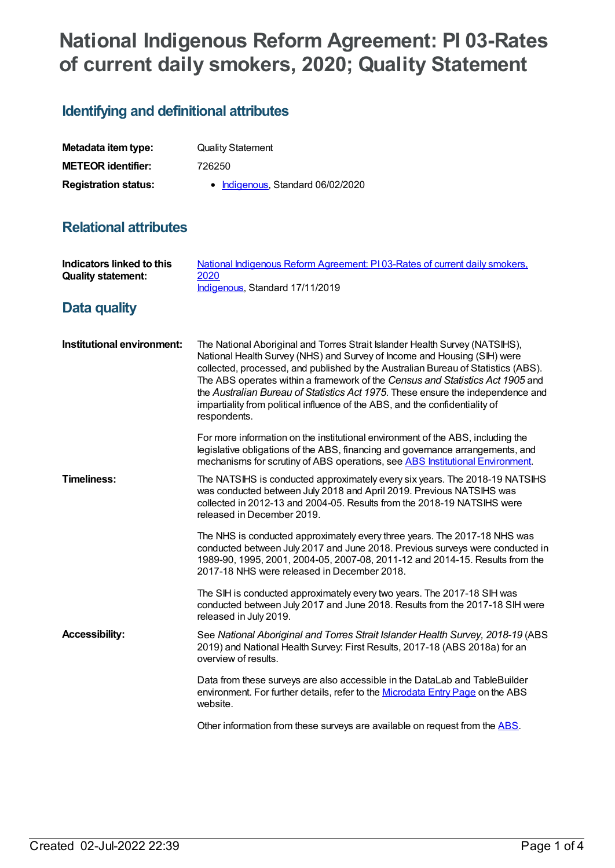# **National Indigenous Reform Agreement: PI 03-Rates of current daily smokers, 2020; Quality Statement**

## **Identifying and definitional attributes**

| Metadata item type:         | <b>Quality Statement</b>          |
|-----------------------------|-----------------------------------|
| <b>METEOR identifier:</b>   | 726250                            |
| <b>Registration status:</b> | • Indigenous, Standard 06/02/2020 |

## **Relational attributes**

| Indicators linked to this<br><b>Quality statement:</b> | National Indigenous Reform Agreement: PI03-Rates of current daily smokers,<br>2020<br>Indigenous, Standard 17/11/2019                                                                                                                                                                                                                                                                                                                                                                                            |
|--------------------------------------------------------|------------------------------------------------------------------------------------------------------------------------------------------------------------------------------------------------------------------------------------------------------------------------------------------------------------------------------------------------------------------------------------------------------------------------------------------------------------------------------------------------------------------|
| Data quality                                           |                                                                                                                                                                                                                                                                                                                                                                                                                                                                                                                  |
| Institutional environment:                             | The National Aboriginal and Torres Strait Islander Health Survey (NATSIHS),<br>National Health Survey (NHS) and Survey of Income and Housing (SIH) were<br>collected, processed, and published by the Australian Bureau of Statistics (ABS).<br>The ABS operates within a framework of the Census and Statistics Act 1905 and<br>the Australian Bureau of Statistics Act 1975. These ensure the independence and<br>impartiality from political influence of the ABS, and the confidentiality of<br>respondents. |
|                                                        | For more information on the institutional environment of the ABS, including the<br>legislative obligations of the ABS, financing and governance arrangements, and<br>mechanisms for scrutiny of ABS operations, see ABS Institutional Environment.                                                                                                                                                                                                                                                               |
| <b>Timeliness:</b>                                     | The NATSIHS is conducted approximately every six years. The 2018-19 NATSIHS<br>was conducted between July 2018 and April 2019. Previous NATSIHS was<br>collected in 2012-13 and 2004-05. Results from the 2018-19 NATSIHS were<br>released in December 2019.                                                                                                                                                                                                                                                     |
|                                                        | The NHS is conducted approximately every three years. The 2017-18 NHS was<br>conducted between July 2017 and June 2018. Previous surveys were conducted in<br>1989-90, 1995, 2001, 2004-05, 2007-08, 2011-12 and 2014-15. Results from the<br>2017-18 NHS were released in December 2018.                                                                                                                                                                                                                        |
|                                                        | The SIH is conducted approximately every two years. The 2017-18 SIH was<br>conducted between July 2017 and June 2018. Results from the 2017-18 SIH were<br>released in July 2019.                                                                                                                                                                                                                                                                                                                                |
| <b>Accessibility:</b>                                  | See National Aboriginal and Torres Strait Islander Health Survey, 2018-19 (ABS<br>2019) and National Health Survey: First Results, 2017-18 (ABS 2018a) for an<br>overview of results.                                                                                                                                                                                                                                                                                                                            |
|                                                        | Data from these surveys are also accessible in the DataLab and TableBuilder<br>environment. For further details, refer to the Microdata Entry Page on the ABS<br>website.                                                                                                                                                                                                                                                                                                                                        |
|                                                        | Other information from these surveys are available on request from the ABS.                                                                                                                                                                                                                                                                                                                                                                                                                                      |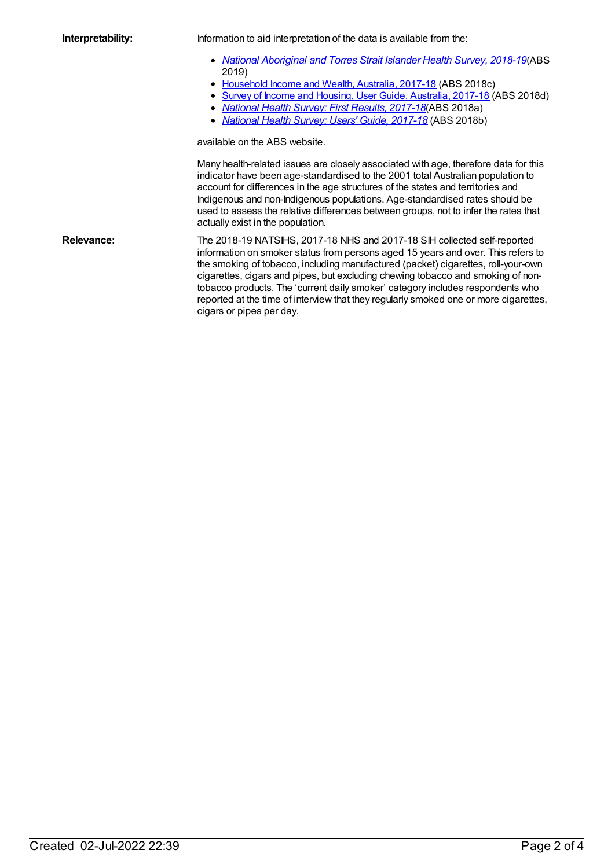**Interpretability:** Information to aid interpretation of the data is available from the:

- *National [Aboriginal](https://www.abs.gov.au/ausstats/abs@.nsf/mf/4715.0) and Torres Strait Islander Health Survey, 2018-19*(ABS 2019)
- [Household](https://www.abs.gov.au/ausstats/abs@.nsf/mf/6523.0) Income and Wealth, Australia, 2017-18 (ABS 2018c)
- Survey of Income and Housing, User Guide, [Australia,](https://www.abs.gov.au/ausstats/abs@.nsf/mf/6553.0) 2017-18 (ABS 2018d)
- *[National](http://www.abs.gov.au/ausstats/abs@.nsf/lookup/4364.0.55.001main+features100012014-15) Health Survey: First Results, [2017-18](https://www.abs.gov.au/ausstats/abs@.nsf/mf/4364.0.55.001)*(ABS 2018a)
- *[National](https://www.abs.gov.au/ausstats/abs@.nsf/mf/4363.0) Health Survey: Users' Guide, 2017-18* (ABS 2018b)

available on the ABS website.

Many health-related issues are closely associated with age, therefore data for this indicator have been age-standardised to the 2001 total Australian population to account for differences in the age structures of the states and territories and Indigenous and non-Indigenous populations. Age-standardised rates should be used to assess the relative differences between groups, not to infer the rates that actually exist in the population.

**Relevance:** The 2018-19 NATSIHS, 2017-18 NHS and 2017-18 SIH collected self-reported information on smoker status from persons aged 15 years and over. This refers to the smoking of tobacco, including manufactured (packet) cigarettes, roll-your-own cigarettes, cigars and pipes, but excluding chewing tobacco and smoking of nontobacco products. The 'current daily smoker' category includes respondents who reported at the time of interview that they regularly smoked one or more cigarettes, cigars or pipes per day.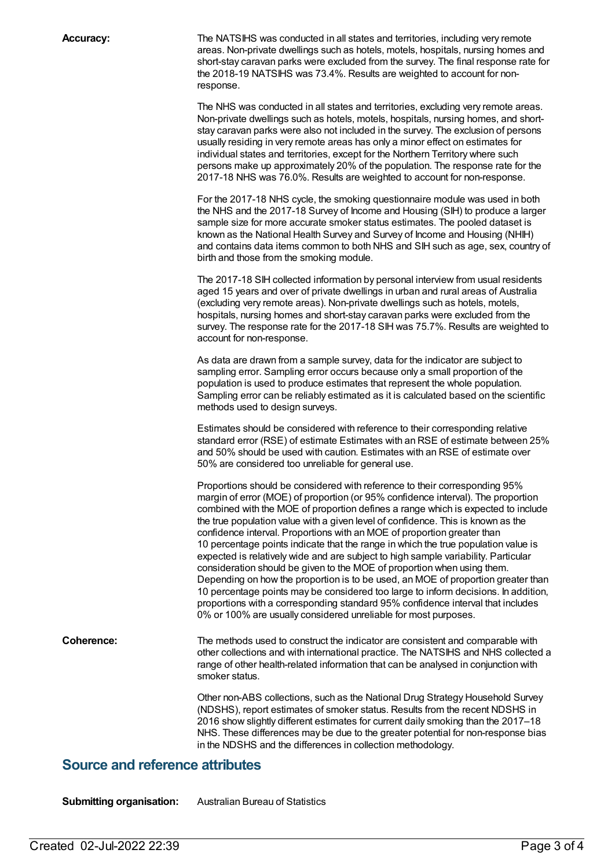**Accuracy:** The NATSIHS was conducted in all states and territories, including very remote areas. Non-private dwellings such as hotels, motels, hospitals, nursing homes and short-stay caravan parks were excluded from the survey. The final response rate for the 2018-19 NATSIHS was 73.4%. Results are weighted to account for nonresponse.

> The NHS was conducted in all states and territories, excluding very remote areas. Non-private dwellings such as hotels, motels, hospitals, nursing homes, and shortstay caravan parks were also not included in the survey. The exclusion of persons usually residing in very remote areas has only a minor effect on estimates for individual states and territories, except for the Northern Territory where such persons make up approximately 20% of the population. The response rate for the 2017-18 NHS was 76.0%. Results are weighted to account for non-response.

For the 2017-18 NHS cycle, the smoking questionnaire module was used in both the NHS and the 2017-18 Survey of Income and Housing (SIH) to produce a larger sample size for more accurate smoker status estimates. The pooled dataset is known as the National Health Survey and Survey of Income and Housing (NHIH) and contains data items common to both NHS and SIH such as age, sex, country of birth and those from the smoking module.

The 2017-18 SIH collected information by personal interview from usual residents aged 15 years and over of private dwellings in urban and rural areas of Australia (excluding very remote areas). Non-private dwellings such as hotels, motels, hospitals, nursing homes and short-stay caravan parks were excluded from the survey. The response rate for the 2017-18 SIH was 75.7%. Results are weighted to account for non-response.

As data are drawn from a sample survey, data for the indicator are subject to sampling error. Sampling error occurs because only a small proportion of the population is used to produce estimates that represent the whole population. Sampling error can be reliably estimated as it is calculated based on the scientific methods used to design surveys.

Estimates should be considered with reference to their corresponding relative standard error (RSE) of estimate Estimates with an RSE of estimate between 25% and 50% should be used with caution. Estimates with an RSE of estimate over 50% are considered too unreliable for general use.

Proportions should be considered with reference to their corresponding 95% margin of error (MOE) of proportion (or 95% confidence interval). The proportion combined with the MOE of proportion defines a range which is expected to include the true population value with a given level of confidence. This is known as the confidence interval. Proportions with an MOE of proportion greater than 10 percentage points indicate that the range in which the true population value is expected is relatively wide and are subject to high sample variability. Particular consideration should be given to the MOE of proportion when using them. Depending on how the proportion is to be used, an MOE of proportion greater than 10 percentage points may be considered too large to inform decisions. In addition, proportions with a corresponding standard 95% confidence interval that includes 0% or 100% are usually considered unreliable for most purposes.

**Coherence:** The methods used to construct the indicator are consistent and comparable with other collections and with international practice. The NATSIHS and NHS collected a range of other health-related information that can be analysed in conjunction with smoker status.

> Other non-ABS collections, such as the National Drug Strategy Household Survey (NDSHS), report estimates of smoker status. Results from the recent NDSHS in 2016 show slightly different estimates for current daily smoking than the 2017–18 NHS. These differences may be due to the greater potential for non-response bias in the NDSHS and the differences in collection methodology.

#### **Source and reference attributes**

**Submitting organisation:** Australian Bureau of Statistics